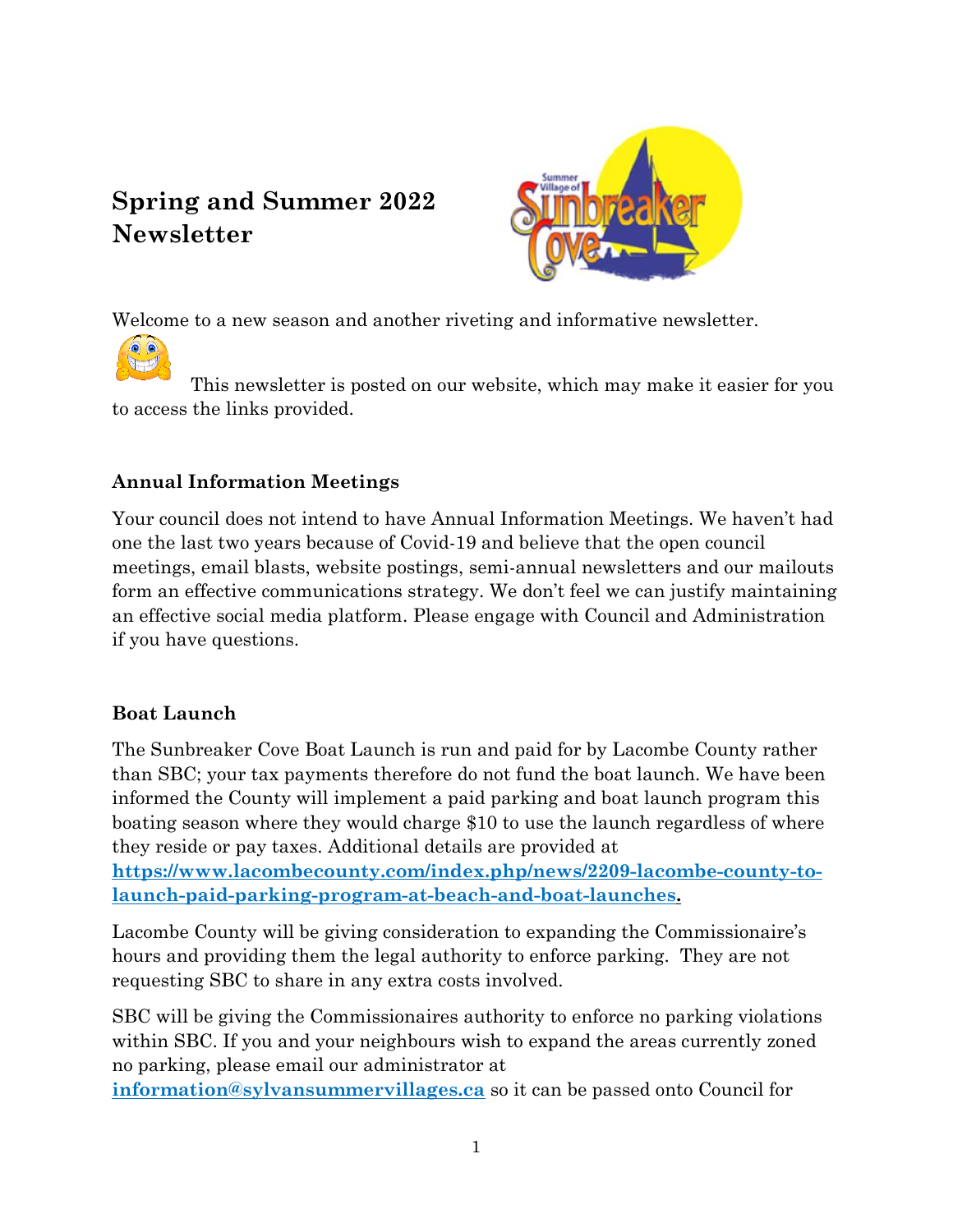# **Spring and Summer 2022 Newsletter**



Welcome to a new season and another riveting and informative newsletter.



 This newsletter is posted on our website, which may make it easier for you t[o acce](https://www.freepngimg.com/png/65057-emoticon-signal-smiley-thumb-emoji-free-frame)ss the links provided.

# **Annual Information Meetings**

Your council does not intend to have Annual Information Meetings. We haven't had one the last two years because of Covid-19 and believe that the open council [meetin](https://creativecommons.org/licenses/by-nc/3.0/)gs, email blasts, website postings, semi-annual newsletters and our mailouts f[orm a](https://creativecommons.org/licenses/by-nc/3.0/)n effective communications strategy. We don't feel we can justify maintaining [an e](https://creativecommons.org/licenses/by-nc/3.0/)ffective social media platform. Please engage with Council and Administration if you have questions.

# **Boat Launch**

The Sunbreaker Cove Boat Launch is run and paid for by Lacombe County rather than SBC; your tax payments therefore do not fund the boat launch. We have been informed the County will implement a paid parking and boat launch program this boating season where they would charge \$10 to use the launch regardless of where they reside or pay taxes. Additional details are provided at

**[https://www.lacombecounty.com/index.php/news/2209-lacombe-county-to](https://www.lacombecounty.com/index.php/news/2209-lacombe-county-to-launch-paid-parking-program-at-beach-and-boat-launches)[launch-paid-parking-program-at-beach-and-boat-launches.](https://www.lacombecounty.com/index.php/news/2209-lacombe-county-to-launch-paid-parking-program-at-beach-and-boat-launches)**

Lacombe County will be giving consideration to expanding the Commissionaire's hours and providing them the legal authority to enforce parking. They are not requesting SBC to share in any extra costs involved.

SBC will be giving the Commissionaires authority to enforce no parking violations within SBC. If you and your neighbours wish to expand the areas currently zoned no parking, please email our administrator at

**[information@sylvansummervillages.ca](mailto:information@sylvansummervillages.ca)** so it can be passed onto Council for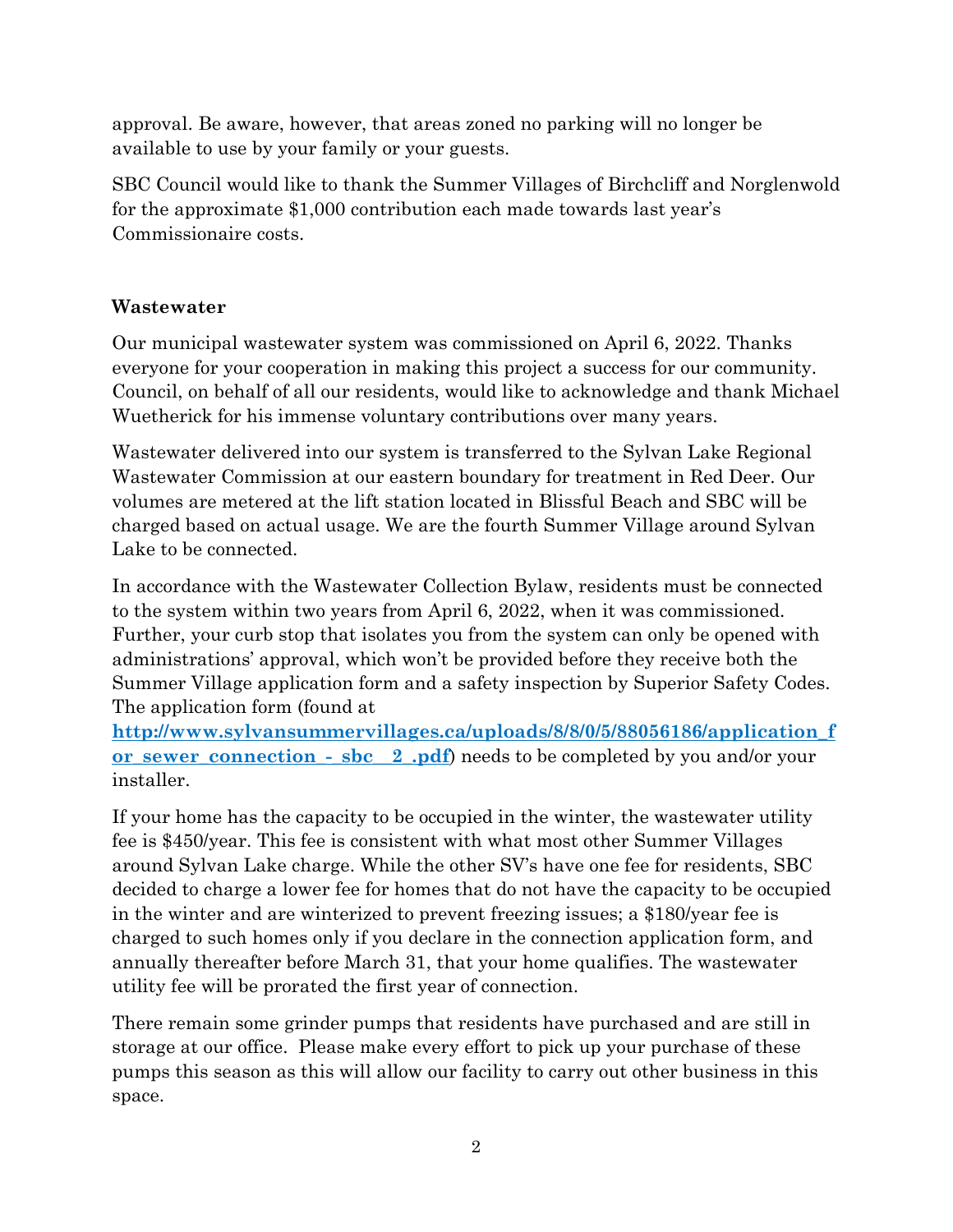approval. Be aware, however, that areas zoned no parking will no longer be available to use by your family or your guests.

SBC Council would like to thank the Summer Villages of Birchcliff and Norglenwold for the approximate \$1,000 contribution each made towards last year's Commissionaire costs.

## **Wastewater**

Our municipal wastewater system was commissioned on April 6, 2022. Thanks everyone for your cooperation in making this project a success for our community. Council, on behalf of all our residents, would like to acknowledge and thank Michael Wuetherick for his immense voluntary contributions over many years.

Wastewater delivered into our system is transferred to the Sylvan Lake Regional Wastewater Commission at our eastern boundary for treatment in Red Deer. Our volumes are metered at the lift station located in Blissful Beach and SBC will be charged based on actual usage. We are the fourth Summer Village around Sylvan Lake to be connected.

In accordance with the Wastewater Collection Bylaw, residents must be connected to the system within two years from April 6, 2022, when it was commissioned. Further, your curb stop that isolates you from the system can only be opened with administrations' approval, which won't be provided before they receive both the Summer Village application form and a safety inspection by Superior Safety Codes. The application form (found at

**[http://www.sylvansummervillages.ca/uploads/8/8/0/5/88056186/application\\_f](http://www.sylvansummervillages.ca/uploads/8/8/0/5/88056186/application_for_sewer_connection_-_sbc__2_.pdf) [or\\_sewer\\_connection\\_-\\_sbc\\_\\_2\\_.pdf](http://www.sylvansummervillages.ca/uploads/8/8/0/5/88056186/application_for_sewer_connection_-_sbc__2_.pdf)**) needs to be completed by you and/or your installer.

If your home has the capacity to be occupied in the winter, the wastewater utility fee is \$450/year. This fee is consistent with what most other Summer Villages around Sylvan Lake charge. While the other SV's have one fee for residents, SBC decided to charge a lower fee for homes that do not have the capacity to be occupied in the winter and are winterized to prevent freezing issues; a \$180/year fee is charged to such homes only if you declare in the connection application form, and annually thereafter before March 31, that your home qualifies. The wastewater utility fee will be prorated the first year of connection.

There remain some grinder pumps that residents have purchased and are still in storage at our office. Please make every effort to pick up your purchase of these pumps this season as this will allow our facility to carry out other business in this space.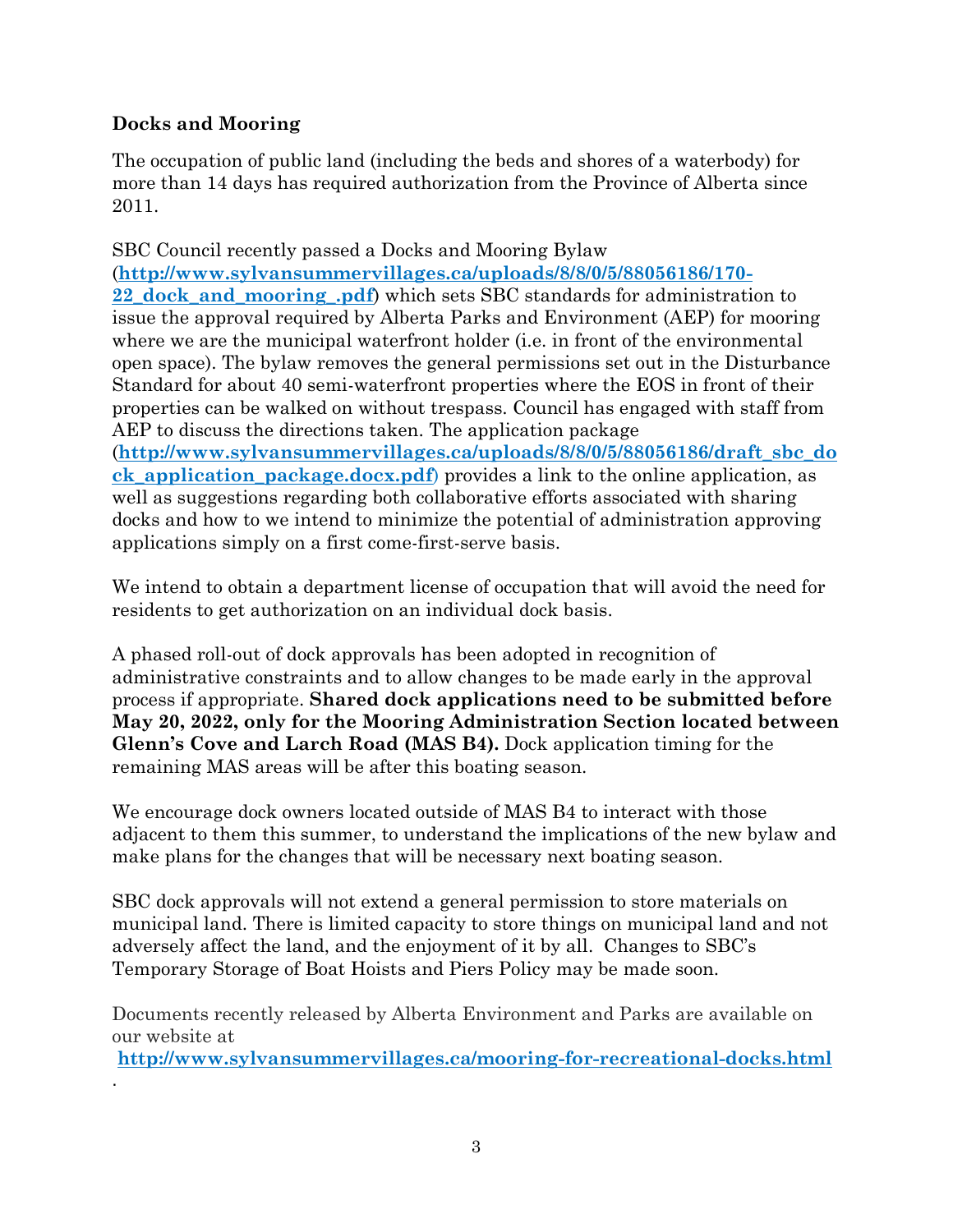## **Docks and Mooring**

.

The occupation of public land (including the beds and shores of a waterbody) for more than 14 days has required authorization from the Province of Alberta since 2011.

SBC Council recently passed a Docks and Mooring Bylaw (**[http://www.sylvansummervillages.ca/uploads/8/8/0/5/88056186/170-](http://www.sylvansummervillages.ca/uploads/8/8/0/5/88056186/170-22_dock_and_mooring_.pdf) [22\\_dock\\_and\\_mooring\\_.pdf](http://www.sylvansummervillages.ca/uploads/8/8/0/5/88056186/170-22_dock_and_mooring_.pdf)**) which sets SBC standards for administration to issue the approval required by Alberta Parks and Environment (AEP) for mooring where we are the municipal waterfront holder (i.e. in front of the environmental open space). The bylaw removes the general permissions set out in the Disturbance Standard for about 40 semi-waterfront properties where the EOS in front of their properties can be walked on without trespass. Council has engaged with staff from AEP to discuss the directions taken. The application package (**[http://www.sylvansummervillages.ca/uploads/8/8/0/5/88056186/draft\\_sbc\\_do](http://www.sylvansummervillages.ca/uploads/8/8/0/5/88056186/draft_sbc_dock_application_package.docx.pdf) [ck\\_application\\_package.docx.pdf](http://www.sylvansummervillages.ca/uploads/8/8/0/5/88056186/draft_sbc_dock_application_package.docx.pdf)**) provides a link to the online application, as well as suggestions regarding both collaborative efforts associated with sharing

docks and how to we intend to minimize the potential of administration approving applications simply on a first come-first-serve basis.

We intend to obtain a department license of occupation that will avoid the need for residents to get authorization on an individual dock basis.

A phased roll-out of dock approvals has been adopted in recognition of administrative constraints and to allow changes to be made early in the approval process if appropriate. **Shared dock applications need to be submitted before May 20, 2022, only for the Mooring Administration Section located between Glenn's Cove and Larch Road (MAS B4).** Dock application timing for the remaining MAS areas will be after this boating season.

We encourage dock owners located outside of MAS B4 to interact with those adjacent to them this summer, to understand the implications of the new bylaw and make plans for the changes that will be necessary next boating season.

SBC dock approvals will not extend a general permission to store materials on municipal land. There is limited capacity to store things on municipal land and not adversely affect the land, and the enjoyment of it by all. Changes to SBC's Temporary Storage of Boat Hoists and Piers Policy may be made soon.

Documents recently released by Alberta Environment and Parks are available on our website at

**<http://www.sylvansummervillages.ca/mooring-for-recreational-docks.html>**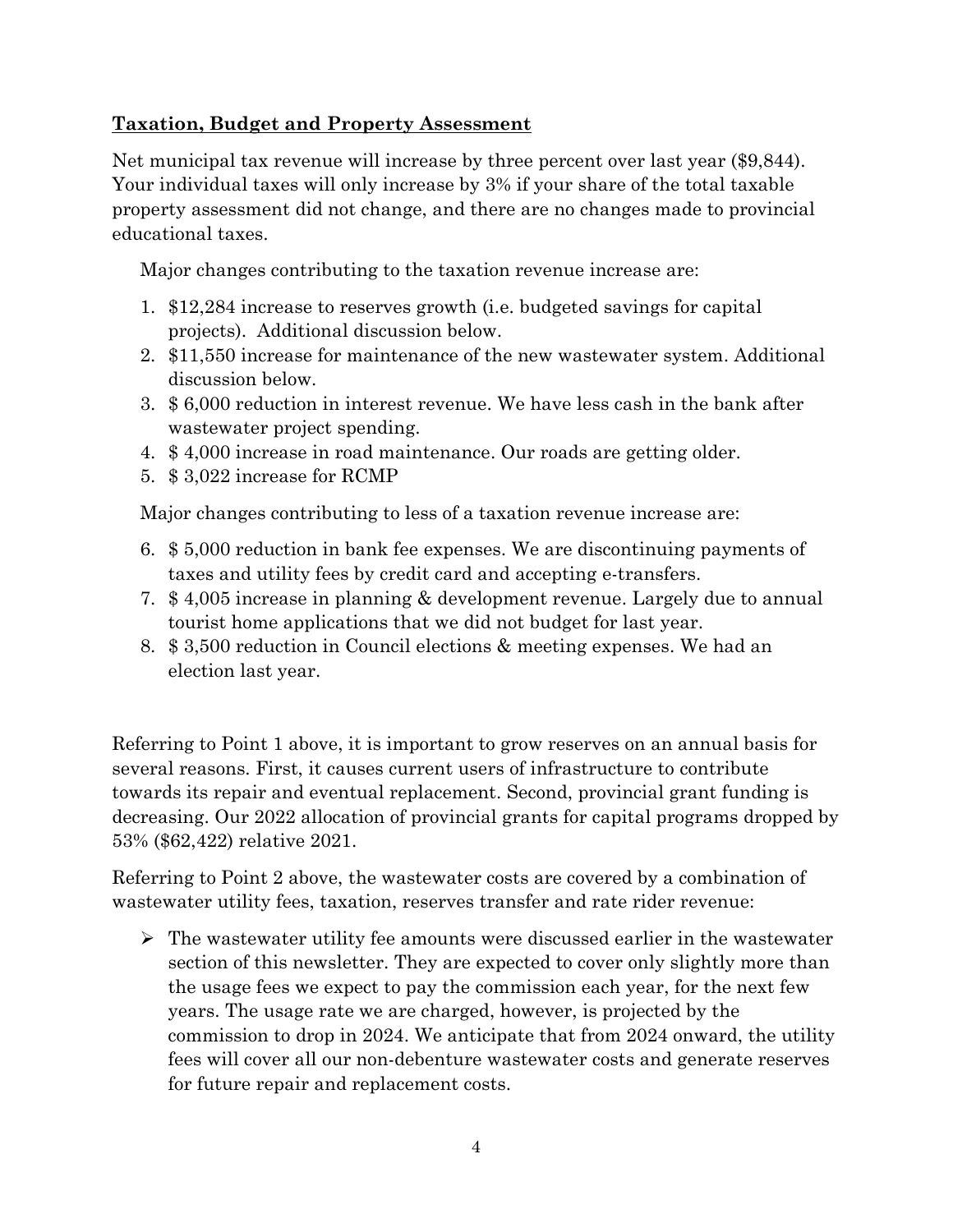#### **Taxation, Budget and Property Assessment**

Net municipal tax revenue will increase by three percent over last year (\$9,844). Your individual taxes will only increase by 3% if your share of the total taxable property assessment did not change, and there are no changes made to provincial educational taxes.

Major changes contributing to the taxation revenue increase are:

- 1. \$12,284 increase to reserves growth (i.e. budgeted savings for capital projects). Additional discussion below.
- 2. \$11,550 increase for maintenance of the new wastewater system. Additional discussion below.
- 3. \$ 6,000 reduction in interest revenue. We have less cash in the bank after wastewater project spending.
- 4. \$ 4,000 increase in road maintenance. Our roads are getting older.
- 5. \$ 3,022 increase for RCMP

Major changes contributing to less of a taxation revenue increase are:

- 6. \$ 5,000 reduction in bank fee expenses. We are discontinuing payments of taxes and utility fees by credit card and accepting e-transfers.
- 7. \$ 4,005 increase in planning & development revenue. Largely due to annual tourist home applications that we did not budget for last year.
- 8. \$ 3,500 reduction in Council elections & meeting expenses. We had an election last year.

Referring to Point 1 above, it is important to grow reserves on an annual basis for several reasons. First, it causes current users of infrastructure to contribute towards its repair and eventual replacement. Second, provincial grant funding is decreasing. Our 2022 allocation of provincial grants for capital programs dropped by 53% (\$62,422) relative 2021.

Referring to Point 2 above, the wastewater costs are covered by a combination of wastewater utility fees, taxation, reserves transfer and rate rider revenue:

➢ The wastewater utility fee amounts were discussed earlier in the wastewater section of this newsletter. They are expected to cover only slightly more than the usage fees we expect to pay the commission each year, for the next few years. The usage rate we are charged, however, is projected by the commission to drop in 2024. We anticipate that from 2024 onward, the utility fees will cover all our non-debenture wastewater costs and generate reserves for future repair and replacement costs.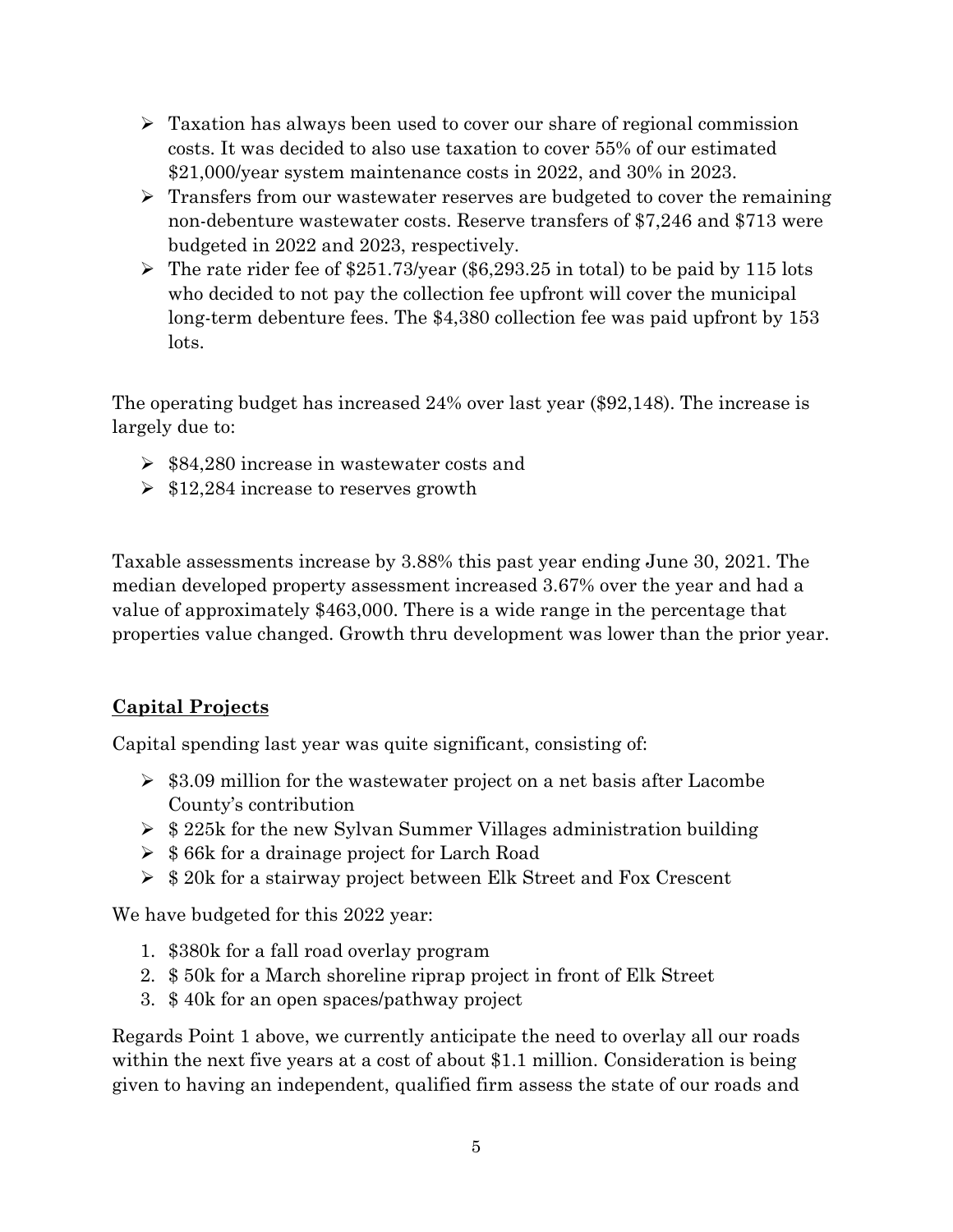- $\triangleright$  Taxation has always been used to cover our share of regional commission costs. It was decided to also use taxation to cover 55% of our estimated \$21,000/year system maintenance costs in 2022, and 30% in 2023.
- ➢ Transfers from our wastewater reserves are budgeted to cover the remaining non-debenture wastewater costs. Reserve transfers of \$7,246 and \$713 were budgeted in 2022 and 2023, respectively.
- $\triangleright$  The rate rider fee of \$251.73/year (\$6,293.25 in total) to be paid by 115 lots who decided to not pay the collection fee upfront will cover the municipal long-term debenture fees. The \$4,380 collection fee was paid upfront by 153 lots.

The operating budget has increased 24% over last year (\$92,148). The increase is largely due to:

- ➢ \$84,280 increase in wastewater costs and
- $\geq$  \$12,284 increase to reserves growth

Taxable assessments increase by 3.88% this past year ending June 30, 2021. The median developed property assessment increased 3.67% over the year and had a value of approximately \$463,000. There is a wide range in the percentage that properties value changed. Growth thru development was lower than the prior year.

#### **Capital Projects**

Capital spending last year was quite significant, consisting of:

- ➢ \$3.09 million for the wastewater project on a net basis after Lacombe County's contribution
- ➢ \$ 225k for the new Sylvan Summer Villages administration building
- ➢ \$ 66k for a drainage project for Larch Road
- ➢ \$ 20k for a stairway project between Elk Street and Fox Crescent

We have budgeted for this 2022 year:

- 1. \$380k for a fall road overlay program
- 2. \$ 50k for a March shoreline riprap project in front of Elk Street
- 3. \$ 40k for an open spaces/pathway project

Regards Point 1 above, we currently anticipate the need to overlay all our roads within the next five years at a cost of about \$1.1 million. Consideration is being given to having an independent, qualified firm assess the state of our roads and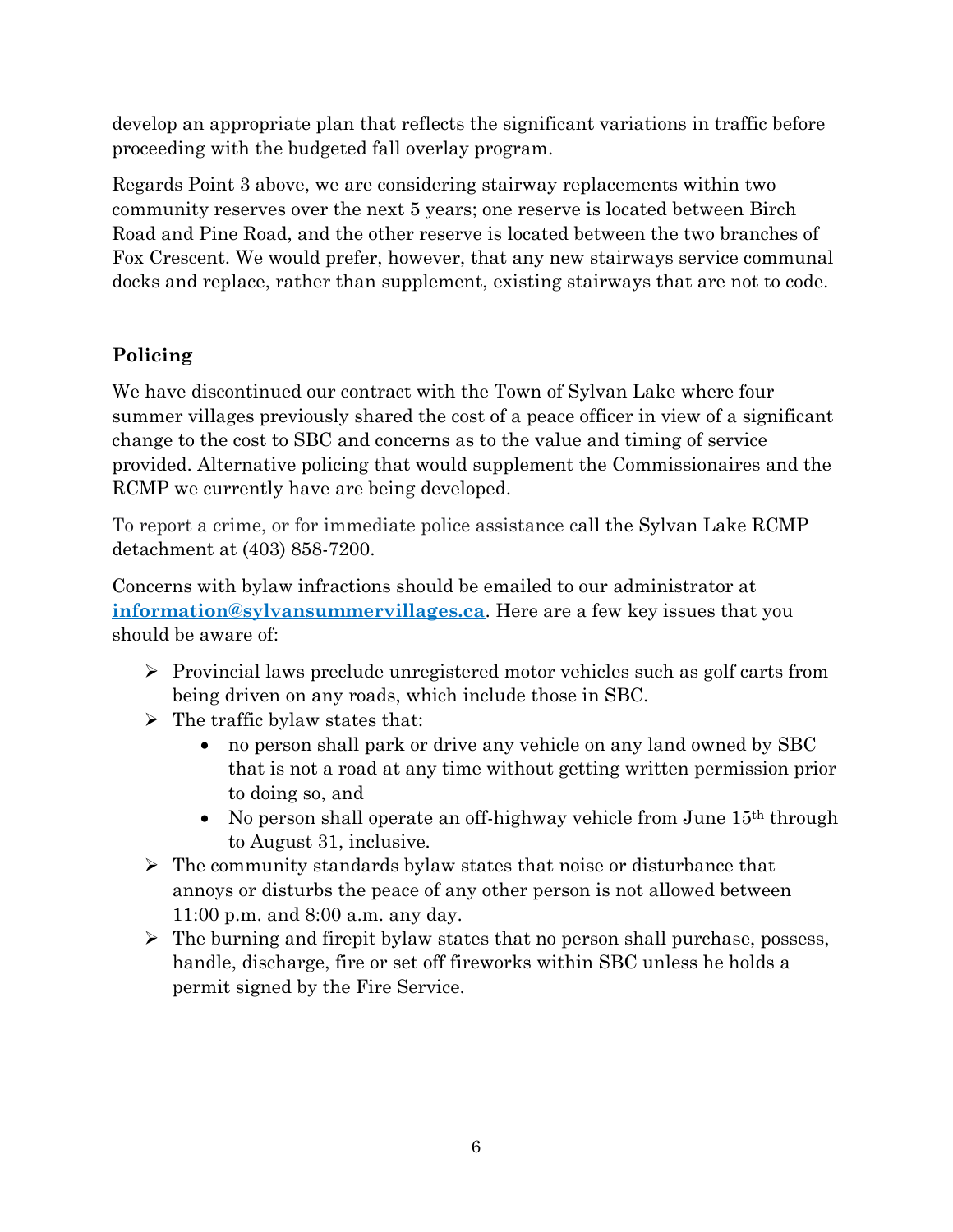develop an appropriate plan that reflects the significant variations in traffic before proceeding with the budgeted fall overlay program.

Regards Point 3 above, we are considering stairway replacements within two community reserves over the next 5 years; one reserve is located between Birch Road and Pine Road, and the other reserve is located between the two branches of Fox Crescent. We would prefer, however, that any new stairways service communal docks and replace, rather than supplement, existing stairways that are not to code.

## **Policing**

We have discontinued our contract with the Town of Sylvan Lake where four summer villages previously shared the cost of a peace officer in view of a significant change to the cost to SBC and concerns as to the value and timing of service provided. Alternative policing that would supplement the Commissionaires and the RCMP we currently have are being developed.

To report a crime, or for immediate police assistance call the Sylvan Lake RCMP detachment at [\(403\) 858-7200.](https://www.google.com/search?q=call%20rcmp&rlz=1C1ONGR_enCA997CA997&oq=call+rcmp&aqs=chrome..69i57.4793j0j7&sourceid=chrome&ie=UTF-8&tbs=lf:1,lf_ui:4&tbm=lcl&sxsrf=APq-WBsAe3oInz_vrsfGceJf5F-k-obHKQ:1650670846480&rflfq=1&num=10&rldimm=17046529537098972844&lqi=CgljYWxsIHJjbXAiBogBAbABAUj9sc6ryquAgAhaEBAAGAAiBHJjbXAqBAgCEACSAQ5mZWRlcmFsX3BvbGljZaoBDBABKggiBHJjbXAoAA&ved=2ahUKEwjS4ceL7Kj3AhUBKX0KHX3bDiYQvS56BAgFEAE&sa=X&rlst=f)

Concerns with bylaw infractions should be emailed to our administrator at **[information@sylvansummervillages.ca](mailto:information@sylvansummervillages.ca)**. Here are a few key issues that you should be aware of:

- ➢ Provincial laws preclude unregistered motor vehicles such as golf carts from being driven on any roads, which include those in SBC.
- $\triangleright$  The traffic bylaw states that:
	- no person shall park or drive any vehicle on any land owned by SBC that is not a road at any time without getting written permission prior to doing so, and
	- No person shall operate an off-highway vehicle from June 15<sup>th</sup> through to August 31, inclusive*.*
- $\triangleright$  The community standards bylaw states that noise or disturbance that annoys or disturbs the peace of any other person is not allowed between 11:00 p.m. and 8:00 a.m. any day.
- ➢ The burning and firepit bylaw states that no person shall purchase, possess, handle, discharge, fire or set off fireworks within SBC unless he holds a permit signed by the Fire Service.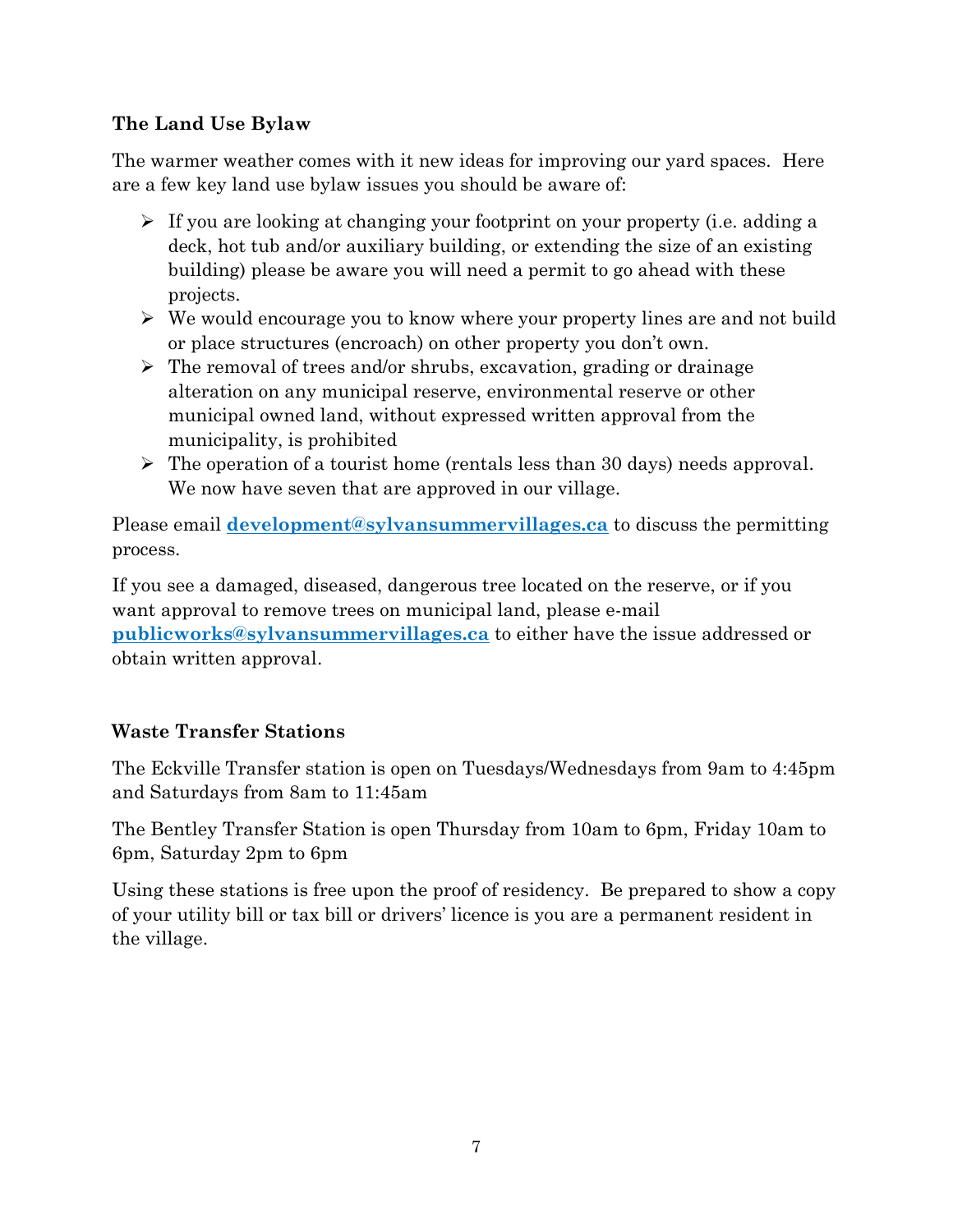## **The Land Use Bylaw**

The warmer weather comes with it new ideas for improving our yard spaces. Here are a few key land use bylaw issues you should be aware of:

- ➢ If you are looking at changing your footprint on your property (i.e. adding a deck, hot tub and/or auxiliary building, or extending the size of an existing building) please be aware you will need a permit to go ahead with these projects.
- $\triangleright$  We would encourage you to know where your property lines are and not build or place structures (encroach) on other property you don't own.
- ➢ The removal of trees and/or shrubs, excavation, grading or drainage alteration on any municipal reserve, environmental reserve or other municipal owned land, without expressed written approval from the municipality, is prohibited
- ➢ The operation of a tourist home (rentals less than 30 days) needs approval. We now have seven that are approved in our village.

Please email **[development@sylvansummervillages.ca](mailto:development@sylvansummervillages.ca)** to discuss the permitting process.

If you see a damaged, diseased, dangerous tree located on the reserve, or if you want approval to remove trees on municipal land, please e-mail **[publicworks@sylvansummervillages.ca](mailto:publicworks@sylvansummervillages.ca)** to either have the issue addressed or obtain written approval.

# **Waste Transfer Stations**

The Eckville Transfer station is open on Tuesdays/Wednesdays from 9am to 4:45pm and Saturdays from 8am to 11:45am

The Bentley Transfer Station is open Thursday from 10am to 6pm, Friday 10am to 6pm, Saturday 2pm to 6pm

Using these stations is free upon the proof of residency. Be prepared to show a copy of your utility bill or tax bill or drivers' licence is you are a permanent resident in the village.